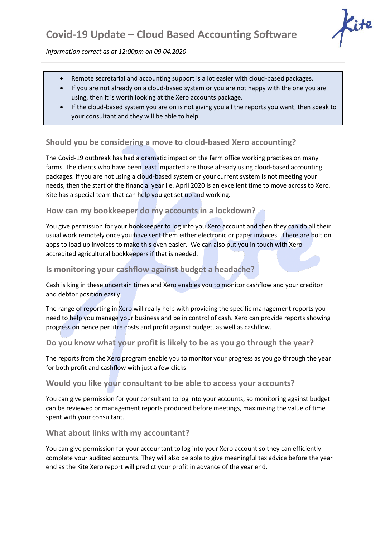

*Information correct as at 12:00pm on 09.04.2020*

- Remote secretarial and accounting support is a lot easier with cloud-based packages.
- If you are not already on a cloud-based system or you are not happy with the one you are using, then it is worth looking at the Xero accounts package.
- If the cloud-based system you are on is not giving you all the reports you want, then speak to your consultant and they will be able to help.

# **Should you be considering a move to cloud-based Xero accounting?**

The Covid-19 outbreak has had a dramatic impact on the farm office working practises on many farms. The clients who have been least impacted are those already using cloud-based accounting packages. If you are not using a cloud-based system or your current system is not meeting your needs, then the start of the financial year i.e. April 2020 is an excellent time to move across to Xero. Kite has a special team that can help you get set up and working.

## **How can my bookkeeper do my accounts in a lockdown?**

You give permission for your bookkeeper to log into you Xero account and then they can do all their usual work remotely once you have sent them either electronic or paper invoices. There are bolt on apps to load up invoices to make this even easier. We can also put you in touch with Xero accredited agricultural bookkeepers if that is needed.

## **Is monitoring your cashflow against budget a headache?**

Cash is king in these uncertain times and Xero enables you to monitor cashflow and your creditor and debtor position easily.

The range of reporting in Xero will really help with providing the specific management reports you need to help you manage your business and be in control of cash. Xero can provide reports showing progress on pence per litre costs and profit against budget, as well as cashflow.

## **Do you know what your profit is likely to be as you go through the year?**

The reports from the Xero program enable you to monitor your progress as you go through the year for both profit and cashflow with just a few clicks.

### **Would you like your consultant to be able to access your accounts?**

You can give permission for your consultant to log into your accounts, so monitoring against budget can be reviewed or management reports produced before meetings, maximising the value of time spent with your consultant.

### **What about links with my accountant?**

You can give permission for your accountant to log into your Xero account so they can efficiently complete your audited accounts. They will also be able to give meaningful tax advice before the year end as the Kite Xero report will predict your profit in advance of the year end.